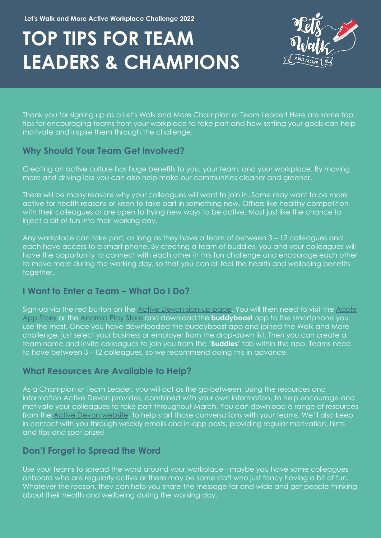**Let's Walk and More Active Workplace Challenge 2022**

# **TOP TIPS FOR TEAM LEADERS & CHAMPIONS**



Thank you for signing up as a Let's Walk and More Champion or Team Leader! Here are some top tips for encouraging teams from your workplace to take part and how setting your goals can help motivate and inspire them through the challenge.

# **Why Should Your Team Get Involved?**

Creating an active culture has huge benefits to you, your team, and your workplace. By moving more and driving less you can also help make our communities cleaner and greener.

There will be many reasons why your colleagues will want to join in. Some may want to be more active for health reasons or keen to take part in something new. Others like healthy competition with their colleagues or are open to trying new ways to be active. Most just like the chance to inject a bit of fun into their working day.

Any workplace can take part, as long as they have a team of between 3 – 12 colleagues and each have access to a smart phone. By creating a team of buddies, you and your colleagues will have the opportunity to connect with each other in this fun challenge and encourage each other to move more during the working day, so that you can all feel the health and wellbeing benefits together.

# **I Want to Enter a Team – What Do I Do?**

Sign-up via the red button on the [Active Devon sign-up page.](https://www.activedevon.org/lets-walk-and-more-with-devons-biggest-active-workplace-challenge/) You will then need to visit the [Apple](https://apps.apple.com/gb/app/buddyboost/id1494456993)  [App Store](https://apps.apple.com/gb/app/buddyboost/id1494456993) or the Android [Play Store](https://play.google.com/store/apps/details?id=com.mayathon&hl=en_GB&gl=US) and download the **buddyboost** app to the smartphone you use the most. Once you have downloaded the buddyboost app and joined the Walk and More challenge, just select your business or employer from the drop-down list. Then you can create a team name and invite colleagues to join you from the '**Buddies'** tab within the app. Teams need to have between 3 - 12 colleagues, so we recommend doing this in advance.

## **What Resources Are Available to Help?**

As a Champion or Team Leader, you will act as the go-between, using the resources and information Active Devon provides, combined with your own information, to help encourage and motivate your colleagues to take part throughout March. You can download a range of resources from the [Active Devon website,](https://www.activedevon.org/lets-walk-and-more-challenge-resources-to-support-you-your-team-and-workplace/) to help start those conversations with your teams. We'll also keep in contact with you through weekly emails and in-app posts, providing regular motivation, hints and tips and spot prizes!

# **Don't Forget to Spread the Word**

Use your teams to spread the word around your workplace - maybe you have some colleagues onboard who are regularly active or there may be some staff who just fancy having a bit of fun. Whatever the reason, they can help you share the message far and wide and get people thinking about their health and wellbeing during the working day.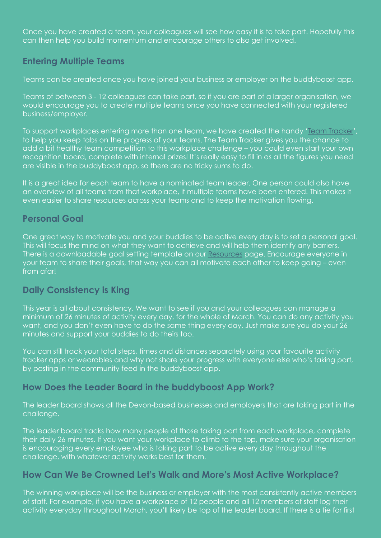Once you have created a team, your colleagues will see how easy it is to take part. Hopefully this can then help you build momentum and encourage others to also get involved.

# **Entering Multiple Teams**

Teams can be created once you have joined your business or employer on the buddyboost app.

Teams of between 3 - 12 colleagues can take part, so if you are part of a larger organisation, we would encourage you to create multiple teams once you have connected with your registered business/employer.

To support workplaces entering more than one team, we have created the handy ['Team Tracker'](https://www.activedevon.org/lets-walk-and-more-challenge-resources-to-support-you-your-team-and-workplace/), to help you keep tabs on the progress of your teams. The Team Tracker gives you the chance to add a bit healthy team competition to this workplace challenge – you could even start your own recognition board, complete with internal prizes! It's really easy to fill in as all the figures you need are visible in the buddyboost app, so there are no tricky sums to do.

It is a great idea for each team to have a nominated team leader. One person could also have an overview of all teams from that workplace, if multiple teams have been entered. This makes it even easier to share resources across your teams and to keep the motivation flowing.

## **Personal Goal**

One great way to motivate you and your buddies to be active every day is to set a personal goal. This will focus the mind on what they want to achieve and will help them identify any barriers. There is a downloadable goal setting template on our [Resources](https://www.activedevon.org/lets-walk-and-more-challenge-resources-to-support-you-your-team-and-workplace/) page. Encourage everyone in your team to share their goals, that way you can all motivate each other to keep going – even from afar!

## **Daily Consistency is King**

This year is all about consistency. We want to see if you and your colleagues can manage a minimum of 26 minutes of activity every day, for the whole of March. You can do any activity you want, and you don't even have to do the same thing every day. Just make sure you do your 26 minutes and support your buddies to do theirs too.

You can still track your total steps, times and distances separately using your favourite activity tracker apps or wearables and why not share your progress with everyone else who's taking part, by posting in the community feed in the buddyboost app.

## **How Does the Leader Board in the buddyboost App Work?**

The leader board shows all the Devon-based businesses and employers that are taking part in the challenge.

The leader board tracks how many people of those taking part from each workplace, complete their daily 26 minutes. If you want your workplace to climb to the top, make sure your organisation is encouraging every employee who is taking part to be active every day throughout the challenge, with whatever activity works best for them.

## **How Can We Be Crowned Let's Walk and More's Most Active Workplace?**

The winning workplace will be the business or employer with the most consistently active members of staff. For example, if you have a workplace of 12 people and all 12 members of staff log their activity everyday throughout March, you'll likely be top of the leader board. If there is a tie for first